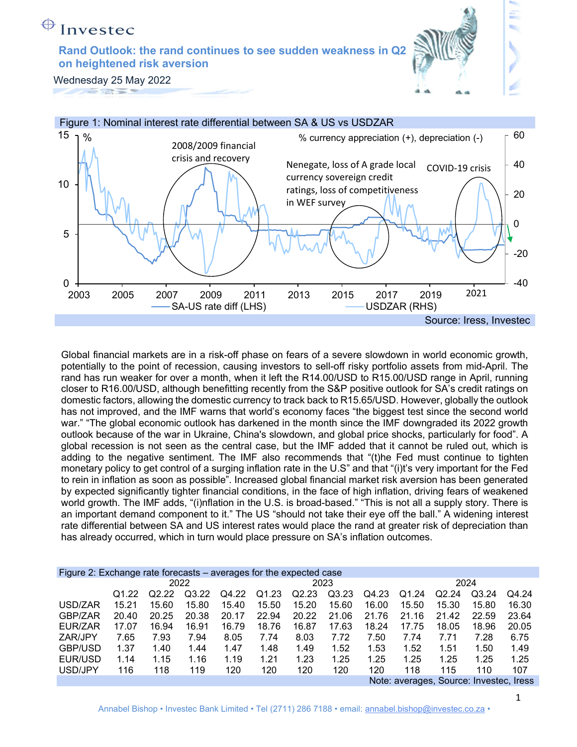#### $\bigoplus$ Investec

Rand Outlook: the rand continues to see sudden weakness in Q2 on heightened risk aversion



Wednesday 25 May 2022



Global financial markets are in a risk-off phase on fears of a severe slowdown in world economic growth, potentially to the point of recession, causing investors to sell-off risky portfolio assets from mid-April. The rand has run weaker for over a month, when it left the R14.00/USD to R15.00/USD range in April, running closer to R16.00/USD, although benefitting recently from the S&P positive outlook for SA's credit ratings on domestic factors, allowing the domestic currency to track back to R15.65/USD. However, globally the outlook has not improved, and the IMF warns that world's economy faces "the biggest test since the second world war." "The global economic outlook has darkened in the month since the IMF downgraded its 2022 growth outlook because of the war in Ukraine, China's slowdown, and global price shocks, particularly for food". A global recession is not seen as the central case, but the IMF added that it cannot be ruled out, which is adding to the negative sentiment. The IMF also recommends that "(t)he Fed must continue to tighten monetary policy to get control of a surging inflation rate in the U.S" and that "(i)t's very important for the Fed to rein in inflation as soon as possible". Increased global financial market risk aversion has been generated by expected significantly tighter financial conditions, in the face of high inflation, driving fears of weakened world growth. The IMF adds, "(i)nflation in the U.S. is broad-based." "This is not all a supply story. There is an important demand component to it." The US "should not take their eye off the ball." A widening interest rate differential between SA and US interest rates would place the rand at greater risk of depreciation than has already occurred, which in turn would place pressure on SA's inflation outcomes.

| Figure 2: Exchange rate forecasts – averages for the expected case |       |       |       |       |                    |       |       |       |                                 |       |       |              |
|--------------------------------------------------------------------|-------|-------|-------|-------|--------------------|-------|-------|-------|---------------------------------|-------|-------|--------------|
|                                                                    |       |       | 2022  |       |                    |       | 2023  |       |                                 |       | 2024  |              |
|                                                                    | 01.22 | Q2.22 | Q3.22 | Q4.22 | Q <sub>1</sub> .23 | Q2.23 | Q3.23 | Q4.23 | Q1.24                           | Q2.24 | Q3.24 | Q4.24        |
| USD/ZAR                                                            | 15.21 | 15.60 | 15.80 | 15.40 | 15.50              | 15.20 | 15.60 | 16.00 | 15.50                           | 15.30 | 15.80 | 16.30        |
| GBP/ZAR                                                            | 20.40 | 20.25 | 20.38 | 20.17 | 22.94              | 20.22 | 21.06 | 21.76 | 21.16                           | 21.42 | 22.59 | 23.64        |
| EUR/ZAR                                                            | 17.07 | 16.94 | 16.91 | 16.79 | 18.76              | 16.87 | 17.63 | 18.24 | 17.75                           | 18.05 | 18.96 | 20.05        |
| ZAR/JPY                                                            | 7.65  | 7.93  | 7.94  | 8.05  | 7.74               | 8.03  | 7.72  | 7.50  | 7.74                            | 7.71  | 7.28  | 6.75         |
| GBP/USD                                                            | 1.37  | 1.40  | 1.44  | 1.47  | 1.48               | 1.49  | 1.52  | 1.53  | 1.52                            | 1.51  | 1.50  | 1.49         |
| EUR/USD                                                            | 1.14  | 1.15  | 1.16  | 1.19  | 1.21               | 1.23  | 1.25  | 1.25  | 1.25                            | 1.25  | 1.25  | 1.25         |
| USD/JPY                                                            | 116   | 118   | 119   | 120   | 120                | 120   | 120   | 120   | 118                             | 115   | 110   | 107          |
|                                                                    |       |       |       |       |                    |       |       |       | Note: averages Source: Invester |       |       | <b>Iracc</b> |

Note: averages, Source: Investec, Iress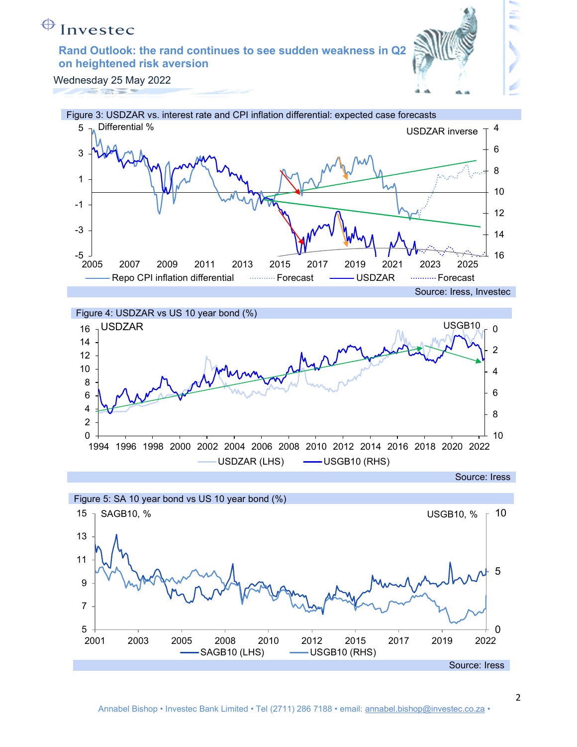## ↔

### Rand Outlook: the rand continues to see sudden weakness in Q2 on heightened risk aversion









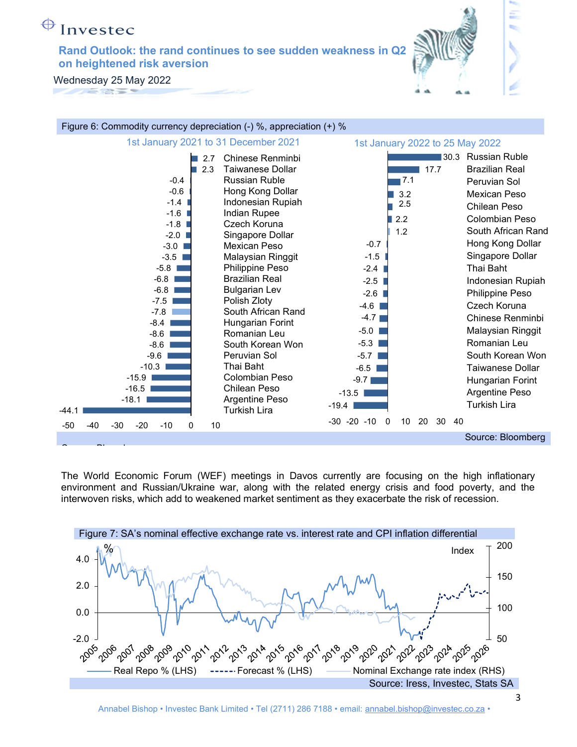## Invested

Rand Outlook: the rand continues to see sudden weakness in Q2 on heightened risk aversion

Wednesday 25 May 2022



The World Economic Forum (WEF) meetings in Davos currently are focusing on the high inflationary environment and Russian/Ukraine war, along with the related energy crisis and food poverty, and the interwoven risks, which add to weakened market sentiment as they exacerbate the risk of recession.



3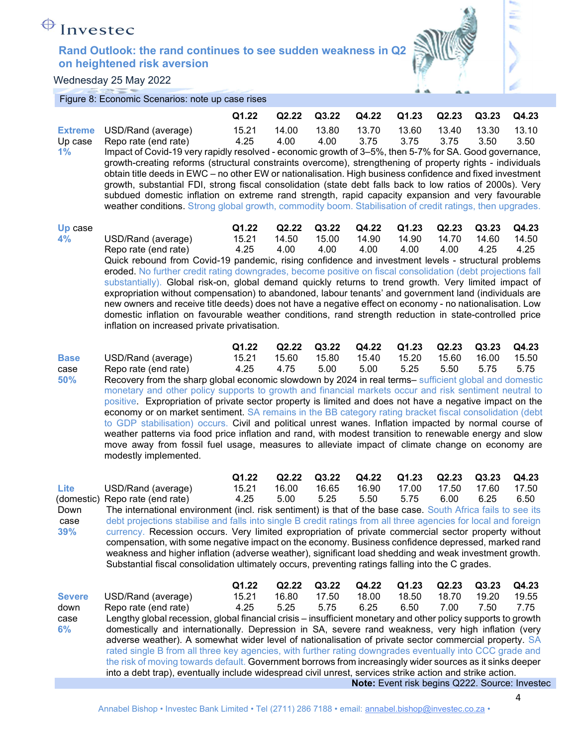

Wednesday 25 May 2022

Figure 8: Economic Scenarios: note up case rises

|                                 |                                                                                                                                                                                                                                                                                                                                                                                                                                                                                                                                                                                                                                                                                                                                                                                                                                                                                                                                       | Q1.22                  | Q2.22                  | Q3.22                  | Q4.22                  | Q1.23                  | Q2.23                  | Q3.23                  | Q4.23                  |  |  |  |  |
|---------------------------------|---------------------------------------------------------------------------------------------------------------------------------------------------------------------------------------------------------------------------------------------------------------------------------------------------------------------------------------------------------------------------------------------------------------------------------------------------------------------------------------------------------------------------------------------------------------------------------------------------------------------------------------------------------------------------------------------------------------------------------------------------------------------------------------------------------------------------------------------------------------------------------------------------------------------------------------|------------------------|------------------------|------------------------|------------------------|------------------------|------------------------|------------------------|------------------------|--|--|--|--|
| <b>Extreme</b><br>Up case<br>1% | USD/Rand (average)<br>Repo rate (end rate)<br>Impact of Covid-19 very rapidly resolved - economic growth of 3–5%, then 5-7% for SA. Good governance,<br>growth-creating reforms (structural constraints overcome), strengthening of property rights - individuals<br>obtain title deeds in EWC - no other EW or nationalisation. High business confidence and fixed investment<br>growth, substantial FDI, strong fiscal consolidation (state debt falls back to low ratios of 2000s). Very<br>subdued domestic inflation on extreme rand strength, rapid capacity expansion and very favourable<br>weather conditions. Strong global growth, commodity boom. Stabilisation of credit ratings, then upgrades.                                                                                                                                                                                                                         | 15.21<br>4.25          | 14.00<br>4.00          | 13.80<br>4.00          | 13.70<br>3.75          | 13.60<br>3.75          | 13.40<br>3.75          | 13.30<br>3.50          | 13.10<br>3.50          |  |  |  |  |
| Up case<br>4%                   | USD/Rand (average)<br>Repo rate (end rate)<br>Quick rebound from Covid-19 pandemic, rising confidence and investment levels - structural problems<br>eroded. No further credit rating downgrades, become positive on fiscal consolidation (debt projections fall<br>substantially). Global risk-on, global demand quickly returns to trend growth. Very limited impact of<br>expropriation without compensation) to abandoned, labour tenants' and government land (individuals are<br>new owners and receive title deeds) does not have a negative effect on economy - no nationalisation. Low<br>domestic inflation on favourable weather conditions, rand strength reduction in state-controlled price<br>inflation on increased private privatisation.                                                                                                                                                                            | Q1.22<br>15.21<br>4.25 | Q2.22<br>14.50<br>4.00 | Q3.22<br>15.00<br>4.00 | Q4.22<br>14.90<br>4.00 | Q1.23<br>14.90<br>4.00 | Q2.23<br>14.70<br>4.00 | Q3.23<br>14.60<br>4.25 | Q4.23<br>14.50<br>4.25 |  |  |  |  |
| <b>Base</b><br>case<br>50%      | USD/Rand (average)<br>Repo rate (end rate)<br>Recovery from the sharp global economic slowdown by 2024 in real terms- sufficient global and domestic<br>monetary and other policy supports to growth and financial markets occur and risk sentiment neutral to<br>positive. Expropriation of private sector property is limited and does not have a negative impact on the<br>economy or on market sentiment. SA remains in the BB category rating bracket fiscal consolidation (debt<br>to GDP stabilisation) occurs. Civil and political unrest wanes. Inflation impacted by normal course of<br>weather patterns via food price inflation and rand, with modest transition to renewable energy and slow<br>move away from fossil fuel usage, measures to alleviate impact of climate change on economy are<br>modestly implemented.                                                                                                | Q1.22<br>15.21<br>4.25 | Q2.22<br>15.60<br>4.75 | Q3.22<br>15.80<br>5.00 | Q4.22<br>15.40<br>5.00 | Q1.23<br>15.20<br>5.25 | Q2.23<br>15.60<br>5.50 | Q3.23<br>16.00<br>5.75 | Q4.23<br>15.50<br>5.75 |  |  |  |  |
| Lite<br>Down<br>case<br>39%     | Q4.23<br>Q1.22<br>Q2.22<br>Q3.22<br>Q4.22<br>Q1.23<br>Q2.23<br>Q3.23<br>15.21<br>16.65<br>16.90<br>17.00<br>17.60<br>17.50<br>USD/Rand (average)<br>16.00<br>17.50<br>4.25<br>5.00<br>5.25<br>5.50<br>5.75<br>6.25<br>6.50<br>(domestic) Repo rate (end rate)<br>6.00<br>The international environment (incl. risk sentiment) is that of the base case. South Africa fails to see its<br>debt projections stabilise and falls into single B credit ratings from all three agencies for local and foreign<br>currency. Recession occurs. Very limited expropriation of private commercial sector property without<br>compensation, with some negative impact on the economy. Business confidence depressed, marked rand<br>weakness and higher inflation (adverse weather), significant load shedding and weak investment growth.<br>Substantial fiscal consolidation ultimately occurs, preventing ratings falling into the C grades. |                        |                        |                        |                        |                        |                        |                        |                        |  |  |  |  |
| <b>Severe</b>                   | USD/Rand (average)                                                                                                                                                                                                                                                                                                                                                                                                                                                                                                                                                                                                                                                                                                                                                                                                                                                                                                                    | Q1.22<br>15.21         | Q2.22<br>16.80         | Q3.22<br>17.50         | Q4.22<br>18.00         | Q1.23<br>18.50         | Q2.23<br>18.70         | Q3.23<br>19.20         | Q4.23<br>19.55         |  |  |  |  |

down Repo rate (end rate) 4.25 5.25 5.75 6.25 6.50 7.00 7.50 7.75 case 6% Lengthy global recession, global financial crisis – insufficient monetary and other policy supports to growth domestically and internationally. Depression in SA, severe rand weakness, very high inflation (very adverse weather). A somewhat wider level of nationalisation of private sector commercial property. SA rated single B from all three key agencies, with further rating downgrades eventually into CCC grade and the risk of moving towards default. Government borrows from increasingly wider sources as it sinks deeper into a debt trap), eventually include widespread civil unrest, services strike action and strike action. Note: Event risk begins Q222. Source: Investec

4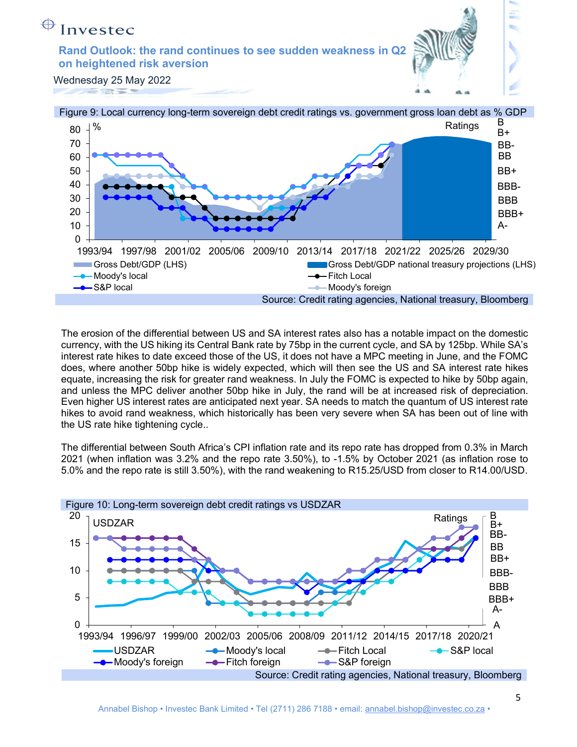



The erosion of the differential between US and SA interest rates also has a notable impact on the domestic currency, with the US hiking its Central Bank rate by 75bp in the current cycle, and SA by 125bp. While SA's interest rate hikes to date exceed those of the US, it does not have a MPC meeting in June, and the FOMC does, where another 50bp hike is widely expected, which will then see the US and SA interest rate hikes equate, increasing the risk for greater rand weakness. In July the FOMC is expected to hike by 50bp again, and unless the MPC deliver another 50bp hike in July, the rand will be at increased risk of depreciation. Even higher US interest rates are anticipated next year. SA needs to match the quantum of US interest rate hikes to avoid rand weakness, which historically has been very severe when SA has been out of line with the US rate hike tightening cycle..

The differential between South Africa's CPI inflation rate and its repo rate has dropped from 0.3% in March 2021 (when inflation was 3.2% and the repo rate 3.50%), to -1.5% by October 2021 (as inflation rose to 5.0% and the repo rate is still 3.50%), with the rand weakening to R15.25/USD from closer to R14.00/USD.

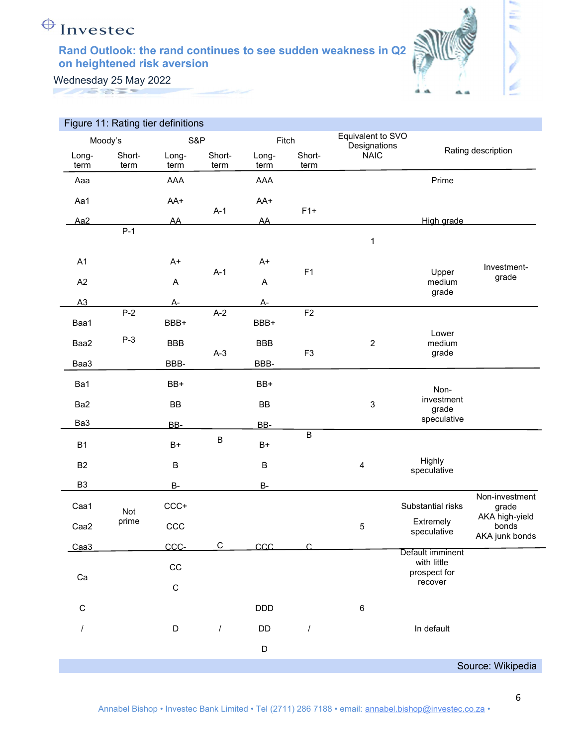

έ

Wednesday 25 May 2022

|                 | Figure 11: Rating tier definitions |               |                |               |                |                                   |                             |                                           |
|-----------------|------------------------------------|---------------|----------------|---------------|----------------|-----------------------------------|-----------------------------|-------------------------------------------|
|                 | Moody's                            | S&P           |                | Fitch         |                | Equivalent to SVO<br>Designations |                             |                                           |
| Long-<br>term   | Short-<br>term                     | Long-<br>term | Short-<br>term | Long-<br>term | Short-<br>term | <b>NAIC</b>                       |                             | Rating description                        |
| Aaa             |                                    | AAA           |                | AAA           |                |                                   | Prime                       |                                           |
| Aa1             |                                    | AA+           |                | AA+           |                |                                   |                             |                                           |
| Aa <sub>2</sub> |                                    | <b>AA</b>     | $A-1$          | AA            | $F1+$          |                                   | High grade                  |                                           |
|                 | $P-1$                              |               |                |               |                | 1                                 |                             |                                           |
| A1              |                                    | $A+$          | $A-1$          | A+            | F1             |                                   |                             | Investment-                               |
| A2              |                                    | Α             |                | Α             |                |                                   | Upper<br>medium<br>grade    | grade                                     |
| A3              |                                    | <u>A-</u>     |                | А-            |                |                                   |                             |                                           |
| Baa1            | $P-2$                              | BBB+          | $A-2$          | BBB+          | F2             |                                   |                             |                                           |
| Baa2            | $P-3$                              | <b>BBB</b>    |                | <b>BBB</b>    |                | $\overline{2}$                    | Lower<br>medium             |                                           |
| Baa3            |                                    | BBB-          | $A-3$          | BBB-          | F <sub>3</sub> |                                   | grade                       |                                           |
| Ba1             |                                    | BB+           |                | BB+           |                |                                   | Non-                        |                                           |
| Ba2             |                                    | BB            |                | <b>BB</b>     |                | $\sqrt{3}$                        | investment<br>grade         |                                           |
| Ba3             |                                    | BB-           |                | BB-           |                |                                   | speculative                 |                                           |
| <b>B1</b>       |                                    | $B+$          | $\sf B$        | $B+$          | $\overline{B}$ |                                   |                             |                                           |
| <b>B2</b>       |                                    | B             |                | B             |                | $\overline{\mathbf{4}}$           | Highly<br>speculative       |                                           |
| B <sub>3</sub>  |                                    | <b>B-</b>     |                | <b>B-</b>     |                |                                   |                             |                                           |
| Caa1            | Not                                | $CCC+$        |                |               |                |                                   | Substantial risks           | Non-investment<br>grade                   |
| Caa2            | prime                              | CCC           |                |               |                | 5                                 | Extremely<br>speculative    | AKA high-yield<br>bonds<br>AKA junk bonds |
| Caa3            |                                    | CCC-          | $\overline{C}$ | $CC$          | ◠              |                                   | Default imminent            |                                           |
|                 |                                    | $_{\rm CC}$   |                |               |                |                                   | with little<br>prospect for |                                           |
| Ca              |                                    | $\mathsf C$   |                |               |                |                                   | recover                     |                                           |
| $\mathsf C$     |                                    |               |                | <b>DDD</b>    |                | $\,6\,$                           |                             |                                           |
| $\prime$        |                                    | D             | $\prime$       | DD            |                |                                   | In default                  |                                           |
|                 |                                    |               |                | D             |                |                                   |                             |                                           |
|                 |                                    |               |                |               |                |                                   |                             | Source: Wikipedia                         |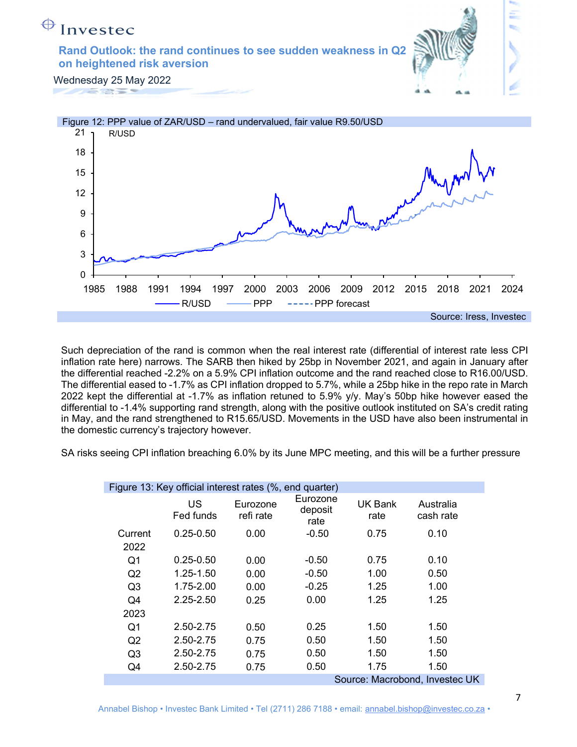# $\bigoplus$  Investec

Rand Outlook: the rand continues to see sudden weakness in Q2 on heightened risk aversion



Wednesday 25 May 2022



Such depreciation of the rand is common when the real interest rate (differential of interest rate less CPI inflation rate here) narrows. The SARB then hiked by 25bp in November 2021, and again in January after the differential reached -2.2% on a 5.9% CPI inflation outcome and the rand reached close to R16.00/USD. The differential eased to -1.7% as CPI inflation dropped to 5.7%, while a 25bp hike in the repo rate in March 2022 kept the differential at -1.7% as inflation retuned to 5.9% y/y. May's 50bp hike however eased the differential to -1.4% supporting rand strength, along with the positive outlook instituted on SA's credit rating in May, and the rand strengthened to R15.65/USD. Movements in the USD have also been instrumental in the domestic currency's trajectory however.

SA risks seeing CPI inflation breaching 6.0% by its June MPC meeting, and this will be a further pressure

| Figure 13: Key official interest rates (%, end quarter) |                 |                       |                             |                 |                                |  |  |  |  |  |  |
|---------------------------------------------------------|-----------------|-----------------------|-----------------------------|-----------------|--------------------------------|--|--|--|--|--|--|
|                                                         | US<br>Fed funds | Eurozone<br>refi rate | Eurozone<br>deposit<br>rate | UK Bank<br>rate | Australia<br>cash rate         |  |  |  |  |  |  |
| Current                                                 | $0.25 - 0.50$   | 0.00                  | $-0.50$                     | 0.75            | 0.10                           |  |  |  |  |  |  |
| 2022                                                    |                 |                       |                             |                 |                                |  |  |  |  |  |  |
| Q1                                                      | $0.25 - 0.50$   | 0.00                  | $-0.50$                     | 0.75            | 0.10                           |  |  |  |  |  |  |
| Q2                                                      | 1.25-1.50       | 0.00                  | $-0.50$                     | 1.00            | 0.50                           |  |  |  |  |  |  |
| Q <sub>3</sub>                                          | 1.75-2.00       | 0.00                  | $-0.25$                     | 1.25            | 1.00                           |  |  |  |  |  |  |
| Q4                                                      | 2.25-2.50       | 0.25                  | 0.00                        | 1.25            | 1.25                           |  |  |  |  |  |  |
| 2023                                                    |                 |                       |                             |                 |                                |  |  |  |  |  |  |
| Q1                                                      | 2.50-2.75       | 0.50                  | 0.25                        | 1.50            | 1.50                           |  |  |  |  |  |  |
| Q2                                                      | 2.50-2.75       | 0.75                  | 0.50                        | 1.50            | 1.50                           |  |  |  |  |  |  |
| Q <sub>3</sub>                                          | 2.50-2.75       | 0.75                  | 0.50                        | 1.50            | 1.50                           |  |  |  |  |  |  |
| Q4                                                      | 2.50-2.75       | 0.75                  | 0.50                        | 1.75            | 1.50                           |  |  |  |  |  |  |
|                                                         |                 |                       |                             |                 | Source: Macrobond, Investec UK |  |  |  |  |  |  |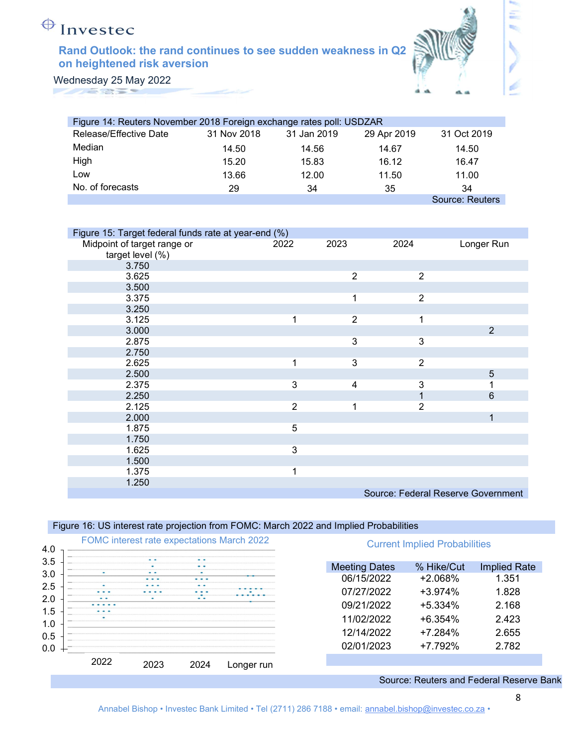# $\bigoplus$  Investec

### Rand Outlook: the rand continues to see sudden weakness in Q2 on heightened risk aversion



Ξ

Wednesday 25 May 2022 **TANGER** 

| Figure 14: Reuters November 2018 Foreign exchange rates poll: USDZAR |             |             |             |                 |  |  |  |  |  |  |  |
|----------------------------------------------------------------------|-------------|-------------|-------------|-----------------|--|--|--|--|--|--|--|
| Release/Effective Date                                               | 31 Nov 2018 | 31 Jan 2019 | 29 Apr 2019 | 31 Oct 2019     |  |  |  |  |  |  |  |
| Median                                                               | 14.50       | 14.56       | 14.67       | 14.50           |  |  |  |  |  |  |  |
| High                                                                 | 15.20       | 15.83       | 16.12       | 16.47           |  |  |  |  |  |  |  |
| LOW                                                                  | 13.66       | 12.00       | 11.50       | 11.00           |  |  |  |  |  |  |  |
| No. of forecasts                                                     | 29          | 34          | 35          | 34              |  |  |  |  |  |  |  |
|                                                                      |             |             |             | Source: Reuters |  |  |  |  |  |  |  |

| Figure 15: Target federal funds rate at year-end (%) |                |                |                |                                    |
|------------------------------------------------------|----------------|----------------|----------------|------------------------------------|
| Midpoint of target range or                          | 2022           | 2023           | 2024           | Longer Run                         |
| target level (%)                                     |                |                |                |                                    |
| 3.750                                                |                |                |                |                                    |
| 3.625                                                |                | $\overline{2}$ | $\overline{2}$ |                                    |
| 3.500                                                |                |                |                |                                    |
| 3.375                                                |                | 1              | $\overline{2}$ |                                    |
| 3.250                                                |                |                |                |                                    |
| 3.125                                                | 1              | $\overline{2}$ | 1              |                                    |
| 3.000                                                |                |                |                | 2                                  |
| 2.875                                                |                | 3              | 3              |                                    |
| 2.750                                                |                |                |                |                                    |
| 2.625                                                | 1              | 3              | $\overline{2}$ |                                    |
| 2.500                                                |                |                |                | 5                                  |
| 2.375                                                | 3              | 4              | 3              |                                    |
| 2.250                                                |                |                | 1              | 6                                  |
| 2.125                                                | $\overline{2}$ | 1              | $\overline{2}$ |                                    |
| 2.000                                                |                |                |                | 1                                  |
| 1.875                                                | 5              |                |                |                                    |
| 1.750                                                |                |                |                |                                    |
| 1.625                                                | 3              |                |                |                                    |
| 1.500                                                |                |                |                |                                    |
| 1.375                                                | 1              |                |                |                                    |
| 1.250                                                |                |                |                |                                    |
|                                                      |                |                |                | Source: Federal Reserve Government |

Figure 16: US interest rate projection from FOMC: March 2022 and Implied Probabilities



Source: Reuters and Federal Reserve Bank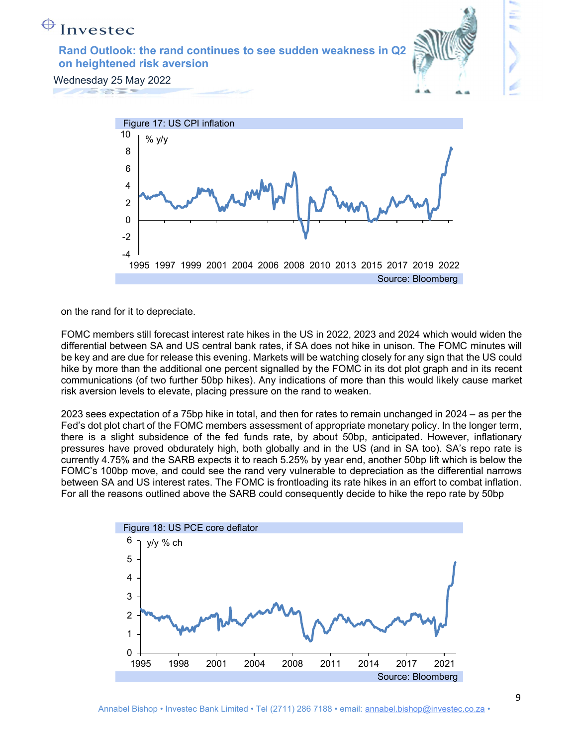



on the rand for it to depreciate.

FOMC members still forecast interest rate hikes in the US in 2022, 2023 and 2024 which would widen the differential between SA and US central bank rates, if SA does not hike in unison. The FOMC minutes will be key and are due for release this evening. Markets will be watching closely for any sign that the US could hike by more than the additional one percent signalled by the FOMC in its dot plot graph and in its recent communications (of two further 50bp hikes). Any indications of more than this would likely cause market risk aversion levels to elevate, placing pressure on the rand to weaken.

2023 sees expectation of a 75bp hike in total, and then for rates to remain unchanged in 2024 – as per the Fed's dot plot chart of the FOMC members assessment of appropriate monetary policy. In the longer term, there is a slight subsidence of the fed funds rate, by about 50bp, anticipated. However, inflationary pressures have proved obdurately high, both globally and in the US (and in SA too). SA's repo rate is currently 4.75% and the SARB expects it to reach 5.25% by year end, another 50bp lift which is below the FOMC's 100bp move, and could see the rand very vulnerable to depreciation as the differential narrows between SA and US interest rates. The FOMC is frontloading its rate hikes in an effort to combat inflation. For all the reasons outlined above the SARB could consequently decide to hike the repo rate by 50bp

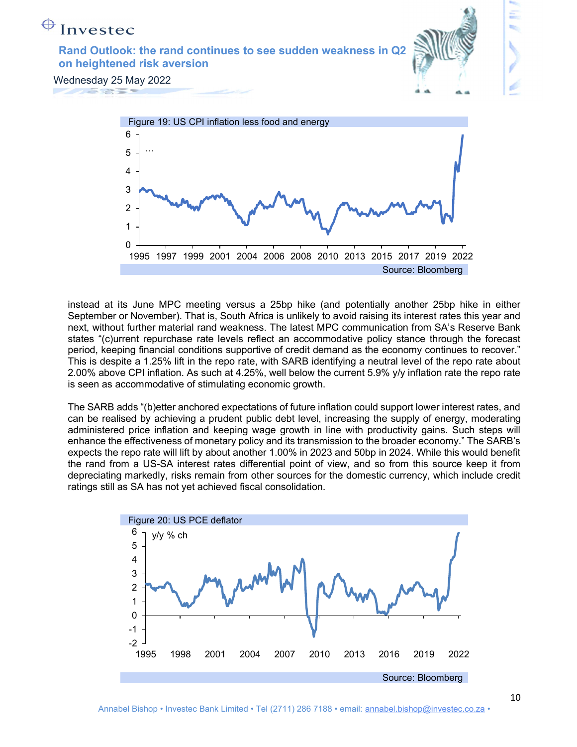



instead at its June MPC meeting versus a 25bp hike (and potentially another 25bp hike in either September or November). That is, South Africa is unlikely to avoid raising its interest rates this year and next, without further material rand weakness. The latest MPC communication from SA's Reserve Bank states "(c)urrent repurchase rate levels reflect an accommodative policy stance through the forecast period, keeping financial conditions supportive of credit demand as the economy continues to recover." This is despite a 1.25% lift in the repo rate, with SARB identifying a neutral level of the repo rate about 2.00% above CPI inflation. As such at 4.25%, well below the current 5.9% y/y inflation rate the repo rate is seen as accommodative of stimulating economic growth.

The SARB adds "(b)etter anchored expectations of future inflation could support lower interest rates, and can be realised by achieving a prudent public debt level, increasing the supply of energy, moderating administered price inflation and keeping wage growth in line with productivity gains. Such steps will enhance the effectiveness of monetary policy and its transmission to the broader economy." The SARB's expects the repo rate will lift by about another 1.00% in 2023 and 50bp in 2024. While this would benefit the rand from a US-SA interest rates differential point of view, and so from this source keep it from depreciating markedly, risks remain from other sources for the domestic currency, which include credit ratings still as SA has not yet achieved fiscal consolidation.

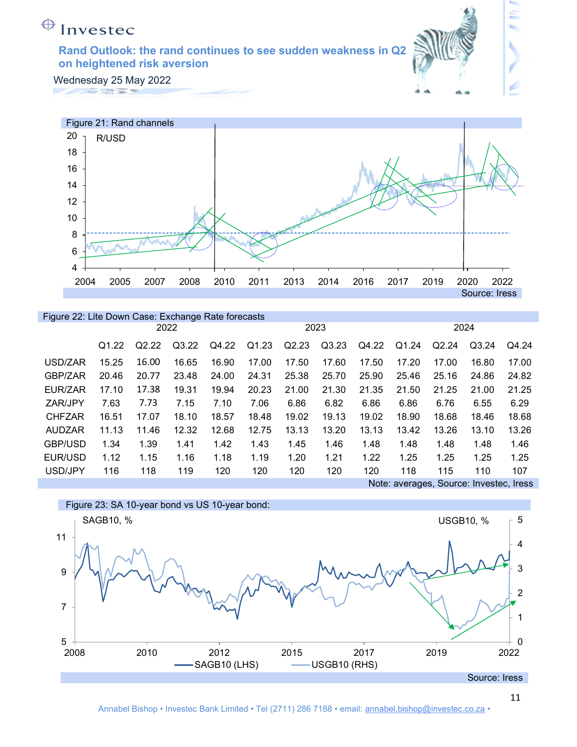

Ξ

Wednesday 25 May 2022



#### Figure 22: Lite Down Case: Exchange Rate forecasts

|                | 2022              |       |       |       |       |       | 2023  |       | 2024  |                                         |       |       |
|----------------|-------------------|-------|-------|-------|-------|-------|-------|-------|-------|-----------------------------------------|-------|-------|
|                | Q <sub>1.22</sub> | Q2.22 | Q3.22 | Q4.22 | Q1.23 | Q2.23 | Q3.23 | Q4.22 | Q1.24 | Q2.24                                   | Q3.24 | Q4.24 |
| USD/ZAR        | 15.25             | 16.00 | 16.65 | 16.90 | 17.00 | 17.50 | 17.60 | 17.50 | 17.20 | 17.00                                   | 16.80 | 17.00 |
| GBP/ZAR        | 20.46             | 20.77 | 23.48 | 24.00 | 24.31 | 25.38 | 25.70 | 25.90 | 25.46 | 25.16                                   | 24.86 | 24.82 |
| EUR/ZAR        | 17.10             | 17.38 | 19.31 | 19.94 | 20.23 | 21.00 | 21.30 | 21.35 | 21.50 | 21.25                                   | 21.00 | 21.25 |
| ZAR/JPY        | 7.63              | 7.73  | 7.15  | 7.10  | 7.06  | 6.86  | 6.82  | 6.86  | 6.86  | 6.76                                    | 6.55  | 6.29  |
| <b>CHFZAR</b>  | 16.51             | 17.07 | 18.10 | 18.57 | 18.48 | 19.02 | 19.13 | 19.02 | 18.90 | 18.68                                   | 18.46 | 18.68 |
| <b>AUDZAR</b>  | 11.13             | 11.46 | 12.32 | 12.68 | 12.75 | 13.13 | 13.20 | 13.13 | 13.42 | 13.26                                   | 13.10 | 13.26 |
| <b>GBP/USD</b> | 1.34              | 1.39  | 1.41  | 1.42  | 1.43  | 1.45  | 1.46  | 1.48  | 1.48  | 1.48                                    | 1.48  | 1.46  |
| EUR/USD        | 1.12              | 1.15  | 1.16  | 1.18  | 1.19  | 1.20  | 1.21  | 1.22  | 1.25  | 1.25                                    | 1.25  | 1.25  |
| USD/JPY        | 116               | 118   | 119   | 120   | 120   | 120   | 120   | 120   | 118   | 115                                     | 110   | 107   |
|                |                   |       |       |       |       |       |       |       |       | Note: averages, Source: Investec, Iress |       |       |

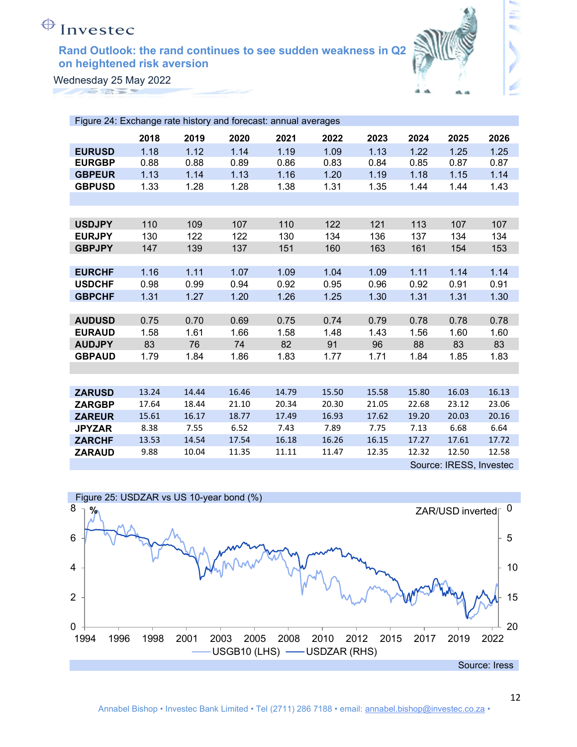

Ξ

Wednesday 25 May 2022 **TANGER** 

| Figure 24: Exchange rate history and forecast: annual averages |       |       |       |       |       |       |       |                         |       |
|----------------------------------------------------------------|-------|-------|-------|-------|-------|-------|-------|-------------------------|-------|
|                                                                | 2018  | 2019  | 2020  | 2021  | 2022  | 2023  | 2024  | 2025                    | 2026  |
| <b>EURUSD</b>                                                  | 1.18  | 1.12  | 1.14  | 1.19  | 1.09  | 1.13  | 1.22  | 1.25                    | 1.25  |
| <b>EURGBP</b>                                                  | 0.88  | 0.88  | 0.89  | 0.86  | 0.83  | 0.84  | 0.85  | 0.87                    | 0.87  |
| <b>GBPEUR</b>                                                  | 1.13  | 1.14  | 1.13  | 1.16  | 1.20  | 1.19  | 1.18  | 1.15                    | 1.14  |
| <b>GBPUSD</b>                                                  | 1.33  | 1.28  | 1.28  | 1.38  | 1.31  | 1.35  | 1.44  | 1.44                    | 1.43  |
|                                                                |       |       |       |       |       |       |       |                         |       |
|                                                                |       |       |       |       |       |       |       |                         |       |
| <b>USDJPY</b>                                                  | 110   | 109   | 107   | 110   | 122   | 121   | 113   | 107                     | 107   |
| <b>EURJPY</b>                                                  | 130   | 122   | 122   | 130   | 134   | 136   | 137   | 134                     | 134   |
| <b>GBPJPY</b>                                                  | 147   | 139   | 137   | 151   | 160   | 163   | 161   | 154                     | 153   |
|                                                                |       |       |       |       |       |       |       |                         |       |
| <b>EURCHF</b>                                                  | 1.16  | 1.11  | 1.07  | 1.09  | 1.04  | 1.09  | 1.11  | 1.14                    | 1.14  |
| <b>USDCHF</b>                                                  | 0.98  | 0.99  | 0.94  | 0.92  | 0.95  | 0.96  | 0.92  | 0.91                    | 0.91  |
| <b>GBPCHF</b>                                                  | 1.31  | 1.27  | 1.20  | 1.26  | 1.25  | 1.30  | 1.31  | 1.31                    | 1.30  |
|                                                                |       |       |       |       |       |       |       |                         |       |
| <b>AUDUSD</b>                                                  | 0.75  | 0.70  | 0.69  | 0.75  | 0.74  | 0.79  | 0.78  | 0.78                    | 0.78  |
| <b>EURAUD</b>                                                  | 1.58  | 1.61  | 1.66  | 1.58  | 1.48  | 1.43  | 1.56  | 1.60                    | 1.60  |
| <b>AUDJPY</b>                                                  | 83    | 76    | 74    | 82    | 91    | 96    | 88    | 83                      | 83    |
| <b>GBPAUD</b>                                                  | 1.79  | 1.84  | 1.86  | 1.83  | 1.77  | 1.71  | 1.84  | 1.85                    | 1.83  |
|                                                                |       |       |       |       |       |       |       |                         |       |
|                                                                |       |       |       |       |       |       |       |                         |       |
| <b>ZARUSD</b>                                                  | 13.24 | 14.44 | 16.46 | 14.79 | 15.50 | 15.58 | 15.80 | 16.03                   | 16.13 |
| <b>ZARGBP</b>                                                  | 17.64 | 18.44 | 21.10 | 20.34 | 20.30 | 21.05 | 22.68 | 23.12                   | 23.06 |
| <b>ZAREUR</b>                                                  | 15.61 | 16.17 | 18.77 | 17.49 | 16.93 | 17.62 | 19.20 | 20.03                   | 20.16 |
| <b>JPYZAR</b>                                                  | 8.38  | 7.55  | 6.52  | 7.43  | 7.89  | 7.75  | 7.13  | 6.68                    | 6.64  |
| <b>ZARCHF</b>                                                  | 13.53 | 14.54 | 17.54 | 16.18 | 16.26 | 16.15 | 17.27 | 17.61                   | 17.72 |
| <b>ZARAUD</b>                                                  | 9.88  | 10.04 | 11.35 | 11.11 | 11.47 | 12.35 | 12.32 | 12.50                   | 12.58 |
|                                                                |       |       |       |       |       |       |       | Source: IRESS, Investec |       |

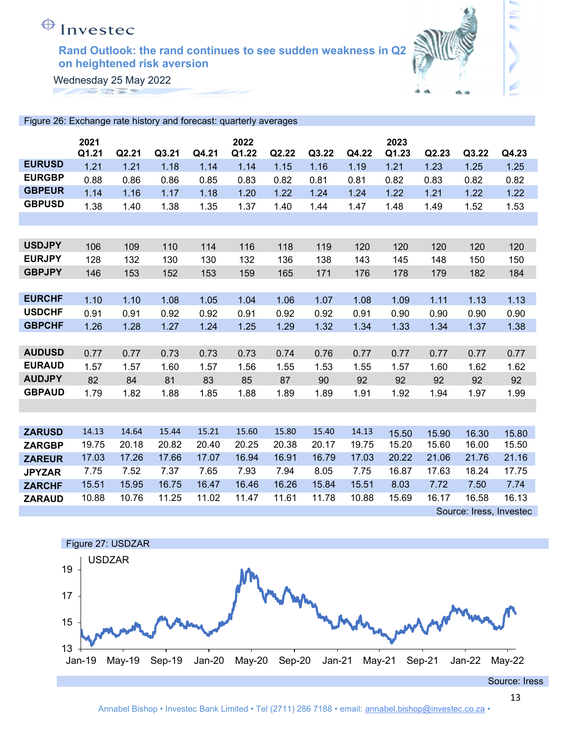

έ

Wednesday 25 May 2022 **ANGELS** 

| Figure 26: Exchange rate history and forecast: quarterly averages |       |       |       |       |       |       |       |       |       |       |       |       |
|-------------------------------------------------------------------|-------|-------|-------|-------|-------|-------|-------|-------|-------|-------|-------|-------|
|                                                                   | 2021  |       |       |       | 2022  |       |       |       | 2023  |       |       |       |
|                                                                   | Q1.21 | Q2.21 | Q3.21 | Q4.21 | Q1.22 | Q2.22 | Q3.22 | Q4.22 | Q1.23 | Q2.23 | Q3.22 | Q4.23 |
| <b>EURUSD</b>                                                     | 1.21  | 1.21  | 1.18  | 1.14  | 1.14  | 1.15  | 1.16  | 1.19  | 1.21  | 1.23  | 1.25  | 1.25  |
| <b>EURGBP</b>                                                     | 0.88  | 0.86  | 0.86  | 0.85  | 0.83  | 0.82  | 0.81  | 0.81  | 0.82  | 0.83  | 0.82  | 0.82  |
| <b>GBPEUR</b>                                                     | 1.14  | 1.16  | 1.17  | 1.18  | 1.20  | 1.22  | 1.24  | 1.24  | 1.22  | 1.21  | 1.22  | 1.22  |
| <b>GBPUSD</b>                                                     | 1.38  | 1.40  | 1.38  | 1.35  | 1.37  | 1.40  | 1.44  | 1.47  | 1.48  | 1.49  | 1.52  | 1.53  |
|                                                                   |       |       |       |       |       |       |       |       |       |       |       |       |
|                                                                   |       |       |       |       |       |       |       |       |       |       |       |       |
| <b>USDJPY</b>                                                     | 106   | 109   | 110   | 114   | 116   | 118   | 119   | 120   | 120   | 120   | 120   | 120   |
| <b>EURJPY</b>                                                     | 128   | 132   | 130   | 130   | 132   | 136   | 138   | 143   | 145   | 148   | 150   | 150   |
| <b>GBPJPY</b>                                                     | 146   | 153   | 152   | 153   | 159   | 165   | 171   | 176   | 178   | 179   | 182   | 184   |
|                                                                   |       |       |       |       |       |       |       |       |       |       |       |       |
| <b>EURCHF</b>                                                     | 1.10  | 1.10  | 1.08  | 1.05  | 1.04  | 1.06  | 1.07  | 1.08  | 1.09  | 1.11  | 1.13  | 1.13  |
| <b>USDCHF</b>                                                     | 0.91  | 0.91  | 0.92  | 0.92  | 0.91  | 0.92  | 0.92  | 0.91  | 0.90  | 0.90  | 0.90  | 0.90  |
| <b>GBPCHF</b>                                                     | 1.26  | 1.28  | 1.27  | 1.24  | 1.25  | 1.29  | 1.32  | 1.34  | 1.33  | 1.34  | 1.37  | 1.38  |
|                                                                   |       |       |       |       |       |       |       |       |       |       |       |       |
| <b>AUDUSD</b>                                                     | 0.77  | 0.77  | 0.73  | 0.73  | 0.73  | 0.74  | 0.76  | 0.77  | 0.77  | 0.77  | 0.77  | 0.77  |
| <b>EURAUD</b>                                                     | 1.57  | 1.57  | 1.60  | 1.57  | 1.56  | 1.55  | 1.53  | 1.55  | 1.57  | 1.60  | 1.62  | 1.62  |
| <b>AUDJPY</b>                                                     | 82    | 84    | 81    | 83    | 85    | 87    | 90    | 92    | 92    | 92    | 92    | 92    |
| <b>GBPAUD</b>                                                     | 1.79  | 1.82  | 1.88  | 1.85  | 1.88  | 1.89  | 1.89  | 1.91  | 1.92  | 1.94  | 1.97  | 1.99  |
|                                                                   |       |       |       |       |       |       |       |       |       |       |       |       |
|                                                                   |       |       |       |       |       |       |       |       |       |       |       |       |
| <b>ZARUSD</b>                                                     | 14.13 | 14.64 | 15.44 | 15.21 | 15.60 | 15.80 | 15.40 | 14.13 | 15.50 | 15.90 | 16.30 | 15.80 |
| <b>ZARGBP</b>                                                     | 19.75 | 20.18 | 20.82 | 20.40 | 20.25 | 20.38 | 20.17 | 19.75 | 15.20 | 15.60 | 16.00 | 15.50 |
| <b>ZAREUR</b>                                                     | 17.03 | 17.26 | 17.66 | 17.07 | 16.94 | 16.91 | 16.79 | 17.03 | 20.22 | 21.06 | 21.76 | 21.16 |
| <b>JPYZAR</b>                                                     | 7.75  | 7.52  | 7.37  | 7.65  | 7.93  | 7.94  | 8.05  | 7.75  | 16.87 | 17.63 | 18.24 | 17.75 |
| <b>ZARCHF</b>                                                     | 15.51 | 15.95 | 16.75 | 16.47 | 16.46 | 16.26 | 15.84 | 15.51 | 8.03  | 7.72  | 7.50  | 7.74  |
| <b>ZARAUD</b>                                                     | 10.88 | 10.76 | 11.25 | 11.02 | 11.47 | 11.61 | 11.78 | 10.88 | 15.69 | 16.17 | 16.58 | 16.13 |

Source: Iress, Investec

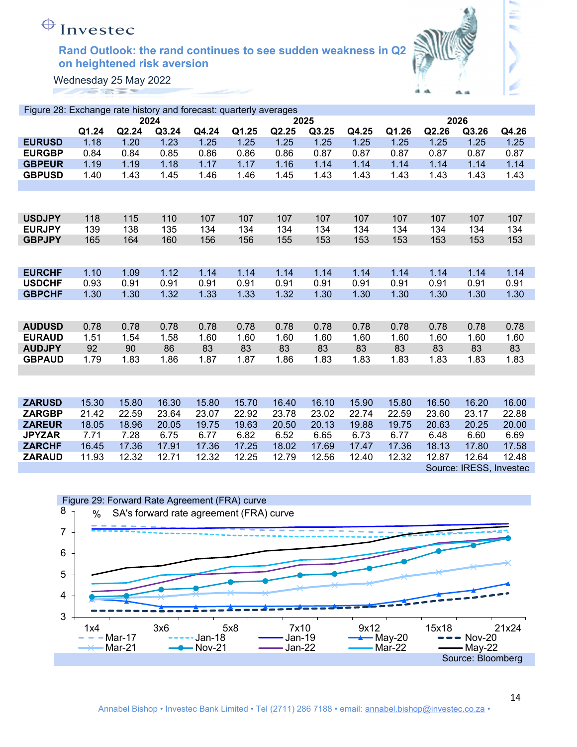

Ξ

Wednesday 25 May 2022 **ANGELS** 

| Figure 28: Exchange rate history and forecast: quarterly averages |       |       |       |       |       |       |       |       |       |       |                         |       |
|-------------------------------------------------------------------|-------|-------|-------|-------|-------|-------|-------|-------|-------|-------|-------------------------|-------|
|                                                                   |       |       | 2024  |       |       |       | 2025  |       |       |       | 2026                    |       |
|                                                                   | Q1.24 | Q2.24 | Q3.24 | Q4.24 | Q1.25 | Q2.25 | Q3.25 | Q4.25 | Q1.26 | Q2.26 | Q3.26                   | Q4.26 |
| <b>EURUSD</b>                                                     | 1.18  | 1.20  | 1.23  | 1.25  | 1.25  | 1.25  | 1.25  | 1.25  | 1.25  | 1.25  | 1.25                    | 1.25  |
| <b>EURGBP</b>                                                     | 0.84  | 0.84  | 0.85  | 0.86  | 0.86  | 0.86  | 0.87  | 0.87  | 0.87  | 0.87  | 0.87                    | 0.87  |
| <b>GBPEUR</b>                                                     | 1.19  | 1.19  | 1.18  | 1.17  | 1.17  | 1.16  | 1.14  | 1.14  | 1.14  | 1.14  | 1.14                    | 1.14  |
| <b>GBPUSD</b>                                                     | 1.40  | 1.43  | 1.45  | 1.46  | 1.46  | 1.45  | 1.43  | 1.43  | 1.43  | 1.43  | 1.43                    | 1.43  |
|                                                                   |       |       |       |       |       |       |       |       |       |       |                         |       |
|                                                                   |       |       |       |       |       |       |       |       |       |       |                         |       |
|                                                                   |       |       |       |       |       |       |       |       |       |       |                         |       |
| <b>USDJPY</b>                                                     | 118   | 115   | 110   | 107   | 107   | 107   | 107   | 107   | 107   | 107   | 107                     | 107   |
| <b>EURJPY</b>                                                     | 139   | 138   | 135   | 134   | 134   | 134   | 134   | 134   | 134   | 134   | 134                     | 134   |
| <b>GBPJPY</b>                                                     | 165   | 164   | 160   | 156   | 156   | 155   | 153   | 153   | 153   | 153   | 153                     | 153   |
|                                                                   |       |       |       |       |       |       |       |       |       |       |                         |       |
|                                                                   |       |       |       |       |       |       |       |       |       |       |                         |       |
| <b>EURCHF</b>                                                     | 1.10  | 1.09  | 1.12  | 1.14  | 1.14  | 1.14  | 1.14  | 1.14  | 1.14  | 1.14  | 1.14                    | 1.14  |
| <b>USDCHF</b>                                                     | 0.93  | 0.91  | 0.91  | 0.91  | 0.91  | 0.91  | 0.91  | 0.91  | 0.91  | 0.91  | 0.91                    | 0.91  |
| <b>GBPCHF</b>                                                     | 1.30  | 1.30  | 1.32  | 1.33  | 1.33  | 1.32  | 1.30  | 1.30  | 1.30  | 1.30  | 1.30                    | 1.30  |
|                                                                   |       |       |       |       |       |       |       |       |       |       |                         |       |
|                                                                   |       |       |       |       |       |       |       |       |       |       |                         |       |
| <b>AUDUSD</b>                                                     | 0.78  | 0.78  | 0.78  | 0.78  | 0.78  | 0.78  | 0.78  | 0.78  | 0.78  | 0.78  | 0.78                    | 0.78  |
| <b>EURAUD</b>                                                     | 1.51  | 1.54  | 1.58  | 1.60  | 1.60  | 1.60  | 1.60  | 1.60  | 1.60  | 1.60  | 1.60                    | 1.60  |
| <b>AUDJPY</b>                                                     | 92    | 90    | 86    | 83    | 83    | 83    | 83    | 83    | 83    | 83    | 83                      | 83    |
| <b>GBPAUD</b>                                                     | 1.79  | 1.83  | 1.86  | 1.87  | 1.87  | 1.86  | 1.83  | 1.83  | 1.83  | 1.83  | 1.83                    | 1.83  |
|                                                                   |       |       |       |       |       |       |       |       |       |       |                         |       |
|                                                                   |       |       |       |       |       |       |       |       |       |       |                         |       |
| <b>ZARUSD</b>                                                     | 15.30 | 15.80 | 16.30 | 15.80 | 15.70 | 16.40 | 16.10 | 15.90 | 15.80 | 16.50 | 16.20                   | 16.00 |
| <b>ZARGBP</b>                                                     | 21.42 | 22.59 | 23.64 | 23.07 | 22.92 | 23.78 | 23.02 | 22.74 | 22.59 | 23.60 | 23.17                   | 22.88 |
| <b>ZAREUR</b>                                                     | 18.05 | 18.96 | 20.05 | 19.75 | 19.63 | 20.50 | 20.13 | 19.88 | 19.75 | 20.63 | 20.25                   | 20.00 |
| <b>JPYZAR</b>                                                     | 7.71  | 7.28  | 6.75  | 6.77  | 6.82  | 6.52  | 6.65  | 6.73  | 6.77  | 6.48  | 6.60                    | 6.69  |
| <b>ZARCHF</b>                                                     | 16.45 | 17.36 | 17.91 | 17.36 | 17.25 | 18.02 | 17.69 | 17.47 | 17.36 | 18.13 | 17.80                   | 17.58 |
| <b>ZARAUD</b>                                                     | 11.93 | 12.32 | 12.71 | 12.32 | 12.25 | 12.79 | 12.56 | 12.40 | 12.32 | 12.87 | 12.64                   | 12.48 |
|                                                                   |       |       |       |       |       |       |       |       |       |       | Source: IRESS, Investec |       |

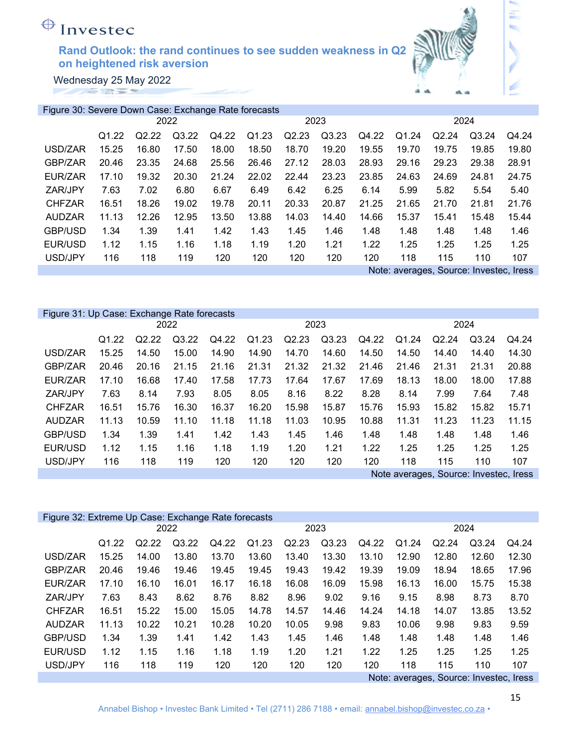Wednesday 25 May 2022 

| Figure 30: Severe Down Case: Exchange Rate forecasts |                   |       |       |       |                   |       |       |       |       |                                         |       |       |
|------------------------------------------------------|-------------------|-------|-------|-------|-------------------|-------|-------|-------|-------|-----------------------------------------|-------|-------|
|                                                      |                   |       | 2022  |       |                   |       | 2023  |       | 2024  |                                         |       |       |
|                                                      | Q <sub>1.22</sub> | Q2.22 | Q3.22 | Q4.22 | Q <sub>1.23</sub> | Q2.23 | Q3.23 | Q4.22 | Q1.24 | Q2.24                                   | Q3.24 | Q4.24 |
| USD/ZAR                                              | 15.25             | 16.80 | 17.50 | 18.00 | 18.50             | 18.70 | 19.20 | 19.55 | 19.70 | 19.75                                   | 19.85 | 19.80 |
| GBP/ZAR                                              | 20.46             | 23.35 | 24.68 | 25.56 | 26.46             | 27.12 | 28.03 | 28.93 | 29.16 | 29.23                                   | 29.38 | 28.91 |
| EUR/ZAR                                              | 17.10             | 19.32 | 20.30 | 21.24 | 22.02             | 22.44 | 23.23 | 23.85 | 24.63 | 24.69                                   | 24.81 | 24.75 |
| ZAR/JPY                                              | 7.63              | 7.02  | 6.80  | 6.67  | 6.49              | 6.42  | 6.25  | 6.14  | 5.99  | 5.82                                    | 5.54  | 5.40  |
| <b>CHFZAR</b>                                        | 16.51             | 18.26 | 19.02 | 19.78 | 20.11             | 20.33 | 20.87 | 21.25 | 21.65 | 21.70                                   | 21.81 | 21.76 |
| <b>AUDZAR</b>                                        | 11.13             | 12.26 | 12.95 | 13.50 | 13.88             | 14.03 | 14.40 | 14.66 | 15.37 | 15.41                                   | 15.48 | 15.44 |
| GBP/USD                                              | 1.34              | 1.39  | 1.41  | 1.42  | 1.43              | 1.45  | 1.46  | 1.48  | 1.48  | 1.48                                    | 1.48  | 1.46  |
| EUR/USD                                              | 1.12              | 1.15  | 1.16  | 1.18  | 1.19              | 1.20  | 1.21  | 1.22  | 1.25  | 1.25                                    | 1.25  | 1.25  |
| USD/JPY                                              | 116               | 118   | 119   | 120   | 120               | 120   | 120   | 120   | 118   | 115                                     | 110   | 107   |
|                                                      |                   |       |       |       |                   |       |       |       |       | Note: averages, Source: Investec, Iress |       |       |

|                | Figure 31: Up Case: Exchange Rate forecasts |       |       |       |       |       |       |       |       |                                        |       |       |
|----------------|---------------------------------------------|-------|-------|-------|-------|-------|-------|-------|-------|----------------------------------------|-------|-------|
|                |                                             |       | 2022  |       |       |       | 2023  |       | 2024  |                                        |       |       |
|                | Q1.22                                       | Q2.22 | Q3.22 | Q4.22 | Q1.23 | Q2.23 | Q3.23 | Q4.22 | Q1.24 | Q2.24                                  | Q3.24 | Q4.24 |
| USD/ZAR        | 15.25                                       | 14.50 | 15.00 | 14.90 | 14.90 | 14.70 | 14.60 | 14.50 | 14.50 | 14.40                                  | 14.40 | 14.30 |
| GBP/ZAR        | 20.46                                       | 20.16 | 21.15 | 21.16 | 21.31 | 21.32 | 21.32 | 21.46 | 21.46 | 21.31                                  | 21.31 | 20.88 |
| EUR/ZAR        | 17.10                                       | 16.68 | 17.40 | 17.58 | 17.73 | 17.64 | 17.67 | 17.69 | 18.13 | 18.00                                  | 18.00 | 17.88 |
| ZAR/JPY        | 7.63                                        | 8.14  | 7.93  | 8.05  | 8.05  | 8.16  | 8.22  | 8.28  | 8.14  | 7.99                                   | 7.64  | 7.48  |
| <b>CHFZAR</b>  | 16.51                                       | 15.76 | 16.30 | 16.37 | 16.20 | 15.98 | 15.87 | 15.76 | 15.93 | 15.82                                  | 15.82 | 15.71 |
| <b>AUDZAR</b>  | 11.13                                       | 10.59 | 11.10 | 11.18 | 11.18 | 11.03 | 10.95 | 10.88 | 11.31 | 11.23                                  | 11.23 | 11.15 |
| <b>GBP/USD</b> | 1.34                                        | 1.39  | 1.41  | 1.42  | 1.43  | 1.45  | 1.46  | 1.48  | 1.48  | 1.48                                   | 1.48  | 1.46  |
| EUR/USD        | 1.12                                        | 1.15  | 1.16  | 1.18  | 1.19  | 1.20  | 1.21  | 1.22  | 1.25  | 1.25                                   | 1.25  | 1.25  |
| USD/JPY        | 116                                         | 118   | 119   | 120   | 120   | 120   | 120   | 120   | 118   | 115                                    | 110   | 107   |
|                |                                             |       |       |       |       |       |       |       |       | Note averages, Source: Investec, Iress |       |       |

| Figure 32: Extreme Up Case: Exchange Rate forecasts |                                          |                   |       |       |       |       |       |       |           |       |       |       |
|-----------------------------------------------------|------------------------------------------|-------------------|-------|-------|-------|-------|-------|-------|-----------|-------|-------|-------|
|                                                     | 2022                                     |                   |       |       | 2023  |       |       |       | 2024      |       |       |       |
|                                                     | Q <sub>1.22</sub>                        | Q <sub>2.22</sub> | Q3.22 | Q4.22 | Q1.23 | Q2.23 | Q3.23 | Q4.22 | .24<br>Q1 | Q2.24 | Q3.24 | Q4.24 |
| USD/ZAR                                             | 15.25                                    | 14.00             | 13.80 | 13.70 | 13.60 | 13.40 | 13.30 | 13.10 | 12.90     | 12.80 | 12.60 | 12.30 |
| GBP/ZAR                                             | 20.46                                    | 19.46             | 19.46 | 19.45 | 19.45 | 19.43 | 19.42 | 19.39 | 19.09     | 18.94 | 18.65 | 17.96 |
| EUR/ZAR                                             | 17.10                                    | 16.10             | 16.01 | 16.17 | 16.18 | 16.08 | 16.09 | 15.98 | 16.13     | 16.00 | 15.75 | 15.38 |
| ZAR/JPY                                             | 7.63                                     | 8.43              | 8.62  | 8.76  | 8.82  | 8.96  | 9.02  | 9.16  | 9.15      | 8.98  | 8.73  | 8.70  |
| <b>CHFZAR</b>                                       | 16.51                                    | 15.22             | 15.00 | 15.05 | 14.78 | 14.57 | 14.46 | 14.24 | 14.18     | 14.07 | 13.85 | 13.52 |
| AUDZAR                                              | 11.13                                    | 10.22             | 10.21 | 10.28 | 10.20 | 10.05 | 9.98  | 9.83  | 10.06     | 9.98  | 9.83  | 9.59  |
| <b>GBP/USD</b>                                      | 1.34                                     | 1.39              | 1.41  | 1.42  | 1.43  | 1.45  | 1.46  | 1.48  | 1.48      | 1.48  | 1.48  | 1.46  |
| EUR/USD                                             | 1.12                                     | 1.15              | 1.16  | 1.18  | 1.19  | 1.20  | 1.21  | 1.22  | 1.25      | 1.25  | 1.25  | 1.25  |
| USD/JPY                                             | 116                                      | 118               | 119   | 120   | 120   | 120   | 120   | 120   | 118       | 115   | 110   | 107   |
|                                                     | Causeau Inventor Irona<br>Nator overages |                   |       |       |       |       |       |       |           |       |       |       |

Note: averages, Source: Investec, Iress

έ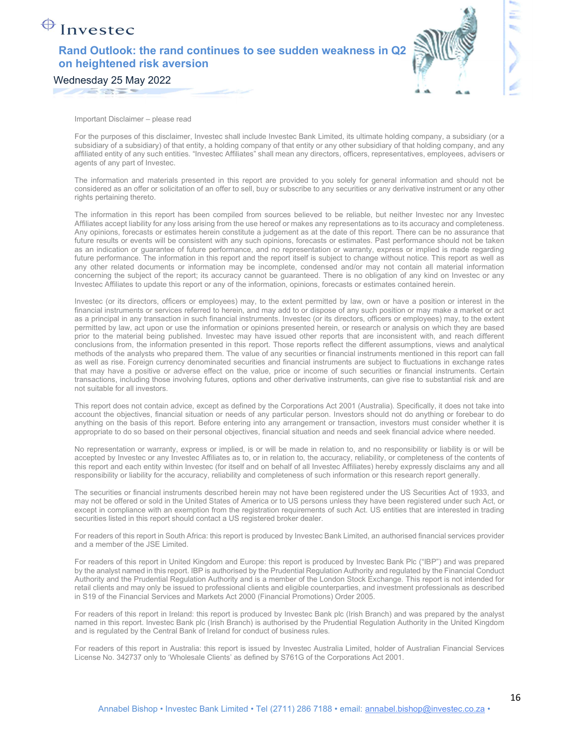Wednesday 25 May 2022

**SALES** 

Invested



Important Disclaimer – please read

For the purposes of this disclaimer, Investec shall include Investec Bank Limited, its ultimate holding company, a subsidiary (or a subsidiary of a subsidiary) of that entity, a holding company of that entity or any other subsidiary of that holding company, and any affiliated entity of any such entities. "Investec Affiliates" shall mean any directors, officers, representatives, employees, advisers or agents of any part of Investec.

The information and materials presented in this report are provided to you solely for general information and should not be considered as an offer or solicitation of an offer to sell, buy or subscribe to any securities or any derivative instrument or any other rights pertaining thereto.

The information in this report has been compiled from sources believed to be reliable, but neither Investec nor any Investec Affiliates accept liability for any loss arising from the use hereof or makes any representations as to its accuracy and completeness. Any opinions, forecasts or estimates herein constitute a judgement as at the date of this report. There can be no assurance that future results or events will be consistent with any such opinions, forecasts or estimates. Past performance should not be taken as an indication or guarantee of future performance, and no representation or warranty, express or implied is made regarding future performance. The information in this report and the report itself is subject to change without notice. This report as well as any other related documents or information may be incomplete, condensed and/or may not contain all material information concerning the subject of the report; its accuracy cannot be guaranteed. There is no obligation of any kind on Investec or any Investec Affiliates to update this report or any of the information, opinions, forecasts or estimates contained herein.

Investec (or its directors, officers or employees) may, to the extent permitted by law, own or have a position or interest in the financial instruments or services referred to herein, and may add to or dispose of any such position or may make a market or act as a principal in any transaction in such financial instruments. Investec (or its directors, officers or employees) may, to the extent permitted by law, act upon or use the information or opinions presented herein, or research or analysis on which they are based prior to the material being published. Investec may have issued other reports that are inconsistent with, and reach different conclusions from, the information presented in this report. Those reports reflect the different assumptions, views and analytical methods of the analysts who prepared them. The value of any securities or financial instruments mentioned in this report can fall as well as rise. Foreign currency denominated securities and financial instruments are subject to fluctuations in exchange rates that may have a positive or adverse effect on the value, price or income of such securities or financial instruments. Certain transactions, including those involving futures, options and other derivative instruments, can give rise to substantial risk and are not suitable for all investors.

This report does not contain advice, except as defined by the Corporations Act 2001 (Australia). Specifically, it does not take into account the objectives, financial situation or needs of any particular person. Investors should not do anything or forebear to do anything on the basis of this report. Before entering into any arrangement or transaction, investors must consider whether it is appropriate to do so based on their personal objectives, financial situation and needs and seek financial advice where needed.

No representation or warranty, express or implied, is or will be made in relation to, and no responsibility or liability is or will be accepted by Investec or any Investec Affiliates as to, or in relation to, the accuracy, reliability, or completeness of the contents of this report and each entity within Investec (for itself and on behalf of all Investec Affiliates) hereby expressly disclaims any and all responsibility or liability for the accuracy, reliability and completeness of such information or this research report generally.

The securities or financial instruments described herein may not have been registered under the US Securities Act of 1933, and may not be offered or sold in the United States of America or to US persons unless they have been registered under such Act, or except in compliance with an exemption from the registration requirements of such Act. US entities that are interested in trading securities listed in this report should contact a US registered broker dealer.

For readers of this report in South Africa: this report is produced by Investec Bank Limited, an authorised financial services provider and a member of the JSE Limited.

For readers of this report in United Kingdom and Europe: this report is produced by Investec Bank Plc ("IBP") and was prepared by the analyst named in this report. IBP is authorised by the Prudential Regulation Authority and regulated by the Financial Conduct Authority and the Prudential Regulation Authority and is a member of the London Stock Exchange. This report is not intended for retail clients and may only be issued to professional clients and eligible counterparties, and investment professionals as described in S19 of the Financial Services and Markets Act 2000 (Financial Promotions) Order 2005.

For readers of this report in Ireland: this report is produced by Investec Bank plc (Irish Branch) and was prepared by the analyst named in this report. Investec Bank plc (Irish Branch) is authorised by the Prudential Regulation Authority in the United Kingdom and is regulated by the Central Bank of Ireland for conduct of business rules.

For readers of this report in Australia: this report is issued by Investec Australia Limited, holder of Australian Financial Services License No. 342737 only to 'Wholesale Clients' as defined by S761G of the Corporations Act 2001.